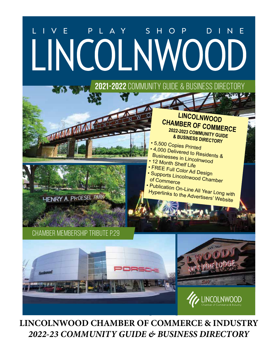# LIVE PLAY SHOP DINE LINCOLNWOOD

**2021-2022** COMMUNITY GUIDE & BUSINESS DIRECTORY



The Man

## Chamber Membership Tribute P.29

**LINCOLNWOOD CHAMBER OF COMMERCE 2022-2023 COMMUNITY GUIDE & BUSINESS DIRECTORY** • 5,500 Copies Printed • 4,000 Delivered to Residents & Businesses in Lincolnwood

- 12 Month Shelf Life
- FREE Full Color Ad Design
- Supports Lincolnwood Chamber of Commerce
- Publication On-Line All Year Long with Hyperlinks to the Advertisers' Website

LINCOLNWOOD

**LINCOLNWOOD CHAMBER OF COMMERCE & INDUSTRY** *2022-23 COMMUNITY GUIDE & BUSINESS DIRECTORY*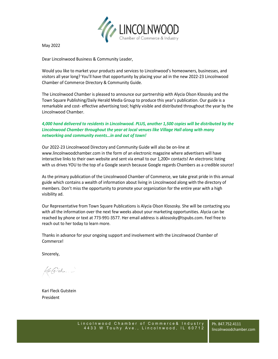

May 2022

Dear Lincolnwood Business & Community Leader,

Would you like to market your products and services to Lincolnwood's homeowners, businesses, and visitors all year long? You'll have that opportunity by placing your ad in the new 2022-23 Lincolnwood Chamber of Commerce Directory & Community Guide.

The Lincolnwood Chamber is pleased to announce our partnership with Alycia Olson Klososky and the Town Square Publishing/Daily Herald Media Group to produce this year's publication. Our guide is a remarkable and cost- effective advertising tool; highly visible and distributed throughout the year by the Lincolnwood Chamber.

#### *4,000 hand delivered to residents in Lincolnwood. PLUS, another 1,500 copies will be distributed by the Lincolnwood Chamber throughout the year at local venues like Village Hall along with many networking and community events…in and out of town!*

Our 2022-23 Lincolnwood Directory and Community Guide will also be on-line at www.lincolnwoodchamber.com in the form of an electronic magazine where advertisers will have interactive links to their own website and sent via email to our 1,200+ contacts! An electronic listing with us drives YOU to the top of a Google search because Google regards Chambers as a credible source!

As the primary publication of the Lincolnwood Chamber of Commerce, we take great pride in this annual guide which contains a wealth of information about living in Lincolnwood along with the directory of members. Don't miss the opportunity to promote your organization for the entire year with a high visibility ad.

Our Representative from Town Square Publications is Alycia Olson Klososky. She will be contacting you with all the information over the next few weeks about your marketing opportunities. Alycia can be reached by phone or text at 773-991-3577. Her email address is aklososky@tspubs.com. Feel free to reach out to her today to learn more.

Thanks in advance for your ongoing support and involvement with the Lincolnwood Chamber of Commerce!

Sincerely,

 $K$ orfaldor.

Kari Fleck Gutstein President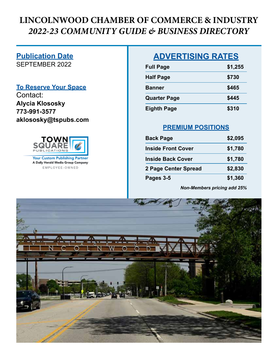## **LINCOLNWOOD CHAMBER OF COMMERCE & INDUSTRY** *2022-23 COMMUNITY GUIDE & BUSINESS DIRECTORY*

## **Publication Date**

SEPTEMBER 2022

#### **To Reserve Your Space**

Contact: **Alycia Klososky 773-991-3577 aklososky@tspubs.com**



**Your Custom Publishing Partner** A Daily Herald Media Group Company EMPLOYEE-OWNED

## **ADVERTISING RATES**

| <b>Full Page</b>    | \$1,255 |
|---------------------|---------|
| <b>Half Page</b>    | \$730   |
| <b>Banner</b>       | \$465   |
| <b>Quarter Page</b> | \$445   |
| <b>Eighth Page</b>  | \$310   |

#### **PREMIUM POSITIONS**

| <b>Back Page</b>          | \$2,095 |
|---------------------------|---------|
| <b>Inside Front Cover</b> | \$1,780 |
| <b>Inside Back Cover</b>  | \$1,780 |
| 2 Page Center Spread      | \$2,830 |
| Pages 3-5                 | \$1,360 |

*Non-Members pricing add 25%*